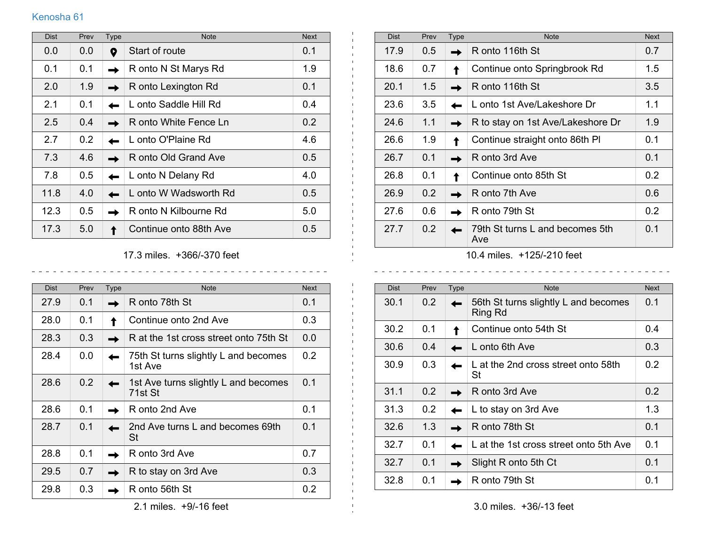## Kenosha 61

| <b>Dist</b> | Prev | Type | <b>Note</b>            | <b>Next</b>   |
|-------------|------|------|------------------------|---------------|
| 0.0         | 0.0  | 0    | Start of route         | 0.1           |
| 0.1         | 0.1  |      | R onto N St Marys Rd   | 1.9           |
| 2.0         | 1.9  |      | R onto Lexington Rd    | 0.1           |
| 2.1         | 0.1  |      | L onto Saddle Hill Rd  | 0.4           |
| 2.5         | 0.4  |      | R onto White Fence Ln  | 0.2           |
| 2.7         | 0.2  |      | L onto O'Plaine Rd     | 4.6           |
| 7.3         | 4.6  |      | R onto Old Grand Ave   | $0.5^{\circ}$ |
| 7.8         | 0.5  |      | L onto N Delany Rd     | 4.0           |
| 11.8        | 4.0  |      | L onto W Wadsworth Rd  | $0.5^{\circ}$ |
| 12.3        | 0.5  |      | R onto N Kilbourne Rd  | 5.0           |
| 17.3        | 5.0  |      | Continue onto 88th Ave | 0.5           |

17.3 miles. +366/-370 feet  $\frac{1}{2}$  .  $\frac{1}{2}$  .  $\frac{1}{2}$  .  $\frac{1}{2}$  .  $\frac{1}{2}$  .  $\frac{1}{2}$  .  $\frac{1}{2}$  .  $\frac{1}{2}$ 

<u>. . . . . . . . . . . .</u>

 $\mathbf{L}$ 

| <b>Dist</b> | Prev | <b>Type</b> | <b>Note</b>                                     | <b>Next</b>      |
|-------------|------|-------------|-------------------------------------------------|------------------|
| 27.9        | 0.1  |             | R onto 78th St                                  | 0.1              |
| 28.0        | 0.1  |             | Continue onto 2nd Ave                           | 0.3 <sub>2</sub> |
| 28.3        | 0.3  |             | R at the 1st cross street onto 75th St          | 0.0              |
| 28.4        | 0.0  |             | 75th St turns slightly L and becomes<br>1st Ave | 0.2              |
| 28.6        | 0.2  |             | 1st Ave turns slightly L and becomes<br>71st St | 0.1              |
| 28.6        | 0.1  |             | R onto 2nd Ave                                  | 0.1              |
| 28.7        | 0.1  |             | 2nd Ave turns L and becomes 69th<br><b>St</b>   | 0.1              |
| 28.8        | 0.1  |             | R onto 3rd Ave                                  | 0.7              |
| 29.5        | 0.7  |             | R to stay on 3rd Ave                            | 0.3              |
| 29.8        | 0.3  |             | R onto 56th St                                  | 0.2              |

| <b>Dist</b> | Prev | Type | <b>Note</b>                            | <b>Next</b> |  |  |
|-------------|------|------|----------------------------------------|-------------|--|--|
| 17.9        | 0.5  |      | R onto 116th St                        | 0.7         |  |  |
| 18.6        | 0.7  |      | Continue onto Springbrook Rd           | 1.5         |  |  |
| 20.1        | 1.5  |      | R onto 116th St                        | 3.5         |  |  |
| 23.6        | 3.5  |      | L onto 1st Ave/Lakeshore Dr            | 1.1         |  |  |
| 24.6        | 1.1  |      | R to stay on 1st Ave/Lakeshore Dr      | 1.9         |  |  |
| 26.6        | 1.9  |      | Continue straight onto 86th PI         | 0.1         |  |  |
| 26.7        | 0.1  |      | R onto 3rd Ave                         | 0.1         |  |  |
| 26.8        | 0.1  |      | Continue onto 85th St                  | 0.2         |  |  |
| 26.9        | 0.2  |      | R onto 7th Ave                         | 0.6         |  |  |
| 27.6        | 0.6  |      | R onto 79th St                         | 0.2         |  |  |
| 27.7        | 0.2  |      | 79th St turns L and becomes 5th<br>Ave | 0.1         |  |  |
|             |      |      |                                        |             |  |  |

10.4 miles. +125/-210 feet  $\frac{1}{2}$  =  $\frac{1}{2}$  =  $\frac{1}{2}$  =  $\frac{1}{2}$  =  $\frac{1}{2}$  =  $\frac{1}{2}$ 

 $\sim$   $\sim$ 

| <b>Dist</b> | Prev             | <b>Type</b> | <b>Note</b>                                     | <b>Next</b> |
|-------------|------------------|-------------|-------------------------------------------------|-------------|
| 30.1        | 0.2              |             | 56th St turns slightly L and becomes<br>Ring Rd | 0.1         |
| 30.2        | 0.1              |             | Continue onto 54th St                           | 0.4         |
| 30.6        | 0.4              |             | L onto 6th Ave                                  | 0.3         |
| 30.9        | 0.3              |             | L at the 2nd cross street onto 58th<br>St       | 0.2         |
| 31.1        | $0.2^{\circ}$    |             | R onto 3rd Ave                                  | 0.2         |
| 31.3        | 0.2 <sub>0</sub> |             | L to stay on 3rd Ave                            | 1.3         |
| 32.6        | 1.3              |             | R onto 78th St                                  | 0.1         |
| 32.7        | 0.1              |             | L at the 1st cross street onto 5th Ave          | 0.1         |
| 32.7        | 0.1              |             | Slight R onto 5th Ct                            | 0.1         |
| 32.8        | 0.1              |             | R onto 79th St                                  | 0.1         |

3.0 miles. +36/-13 feet